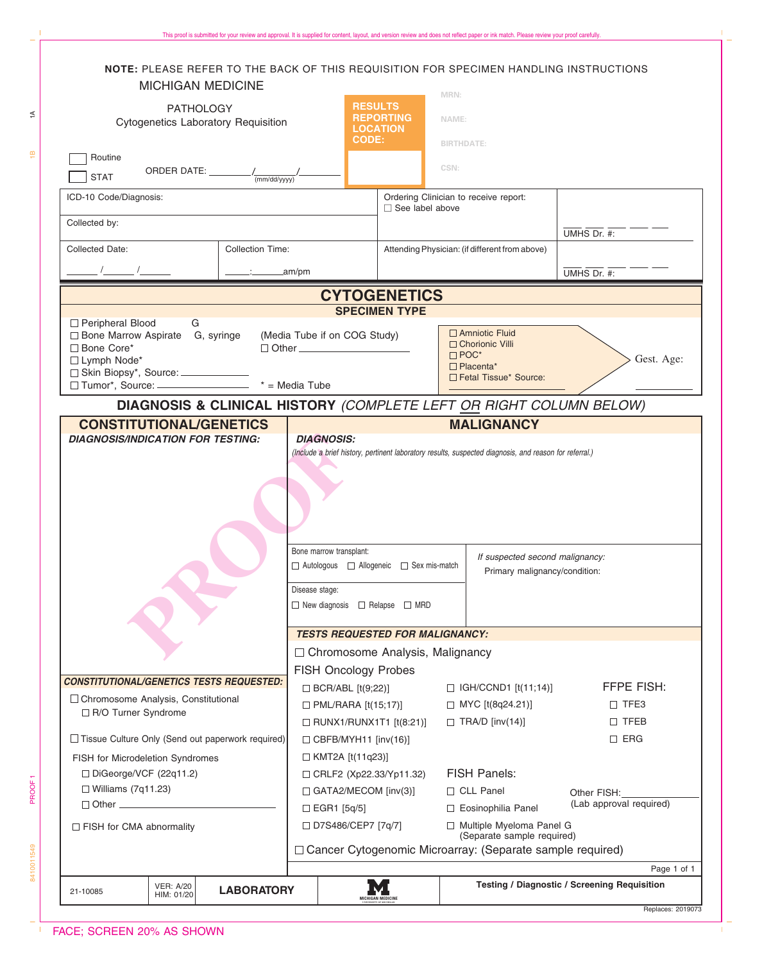| NOTE: PLEASE REFER TO THE BACK OF THIS REQUISITION FOR SPECIMEN HANDLING INSTRUCTIONS<br><b>MICHIGAN MEDICINE</b> |                                        |                                                                                                                                                                              |                                                                       | MRN:                                                                                                                                                                                            |                                              |
|-------------------------------------------------------------------------------------------------------------------|----------------------------------------|------------------------------------------------------------------------------------------------------------------------------------------------------------------------------|-----------------------------------------------------------------------|-------------------------------------------------------------------------------------------------------------------------------------------------------------------------------------------------|----------------------------------------------|
| <b>PATHOLOGY</b><br><b>Cytogenetics Laboratory Requisition</b>                                                    |                                        |                                                                                                                                                                              | <b>RESULTS</b><br><b>REPORTING</b><br><b>LOCATION</b><br><b>CODE:</b> | NAME:<br><b>BIRTHDATE:</b>                                                                                                                                                                      |                                              |
| Routine<br>ORDER DATE: $\frac{1}{(mm/dd/yyyy)'}$<br><b>STAT</b>                                                   |                                        |                                                                                                                                                                              |                                                                       | CSN:                                                                                                                                                                                            |                                              |
| ICD-10 Code/Diagnosis:                                                                                            |                                        |                                                                                                                                                                              | Ordering Clinician to receive report:<br>□ See label above            |                                                                                                                                                                                                 |                                              |
| Collected by:                                                                                                     |                                        | UMHS Dr. #:                                                                                                                                                                  |                                                                       |                                                                                                                                                                                                 |                                              |
| <b>Collected Date:</b>                                                                                            |                                        | Attending Physician: (if different from above)                                                                                                                               |                                                                       |                                                                                                                                                                                                 |                                              |
| <b>Collection Time:</b><br>$\frac{1}{2}$ am/pm                                                                    |                                        |                                                                                                                                                                              |                                                                       |                                                                                                                                                                                                 | UMHS Dr. #:                                  |
|                                                                                                                   |                                        |                                                                                                                                                                              |                                                                       |                                                                                                                                                                                                 |                                              |
|                                                                                                                   |                                        |                                                                                                                                                                              | <b>CYTOGENETICS</b><br><b>SPECIMEN TYPE</b>                           |                                                                                                                                                                                                 |                                              |
| □ Peripheral Blood<br>G<br>□ Bone Marrow Aspirate G, syringe<br>□ Bone Core*<br>□ Lymph Node*                     | (Media Tube if on COG Study)           | $\Box$ Amniotic Fluid<br>$\Box$ Chorionic Villi<br>$\Box$ POC*<br>$\Box$ Placenta*<br>Fetal Tissue* Source:                                                                  |                                                                       | Gest. Age:                                                                                                                                                                                      |                                              |
|                                                                                                                   |                                        |                                                                                                                                                                              |                                                                       | DIAGNOSIS & CLINICAL HISTORY (COMPLETE LEFT OR RIGHT COLUMN BELOW)                                                                                                                              |                                              |
| <b>CONSTITUTIONAL/GENETICS</b><br><b>DIAGNOSIS/INDICATION FOR TESTING:</b>                                        |                                        | <b>DIAGNOSIS:</b><br>Bone marrow transplant:<br>$\Box$ Autologous $\Box$ Allogeneic $\Box$ Sex mis-match<br>Disease stage:<br>$\Box$ New diagnosis $\Box$ Relapse $\Box$ MRD |                                                                       | <b>MALIGNANCY</b><br>(Include a brief history, pertinent laboratory results, suspected diagnosis, and reason for referral.)<br>If suspected second malignancy:<br>Primary malignancy/condition: |                                              |
|                                                                                                                   | <b>TESTS REQUESTED FOR MALIGNANCY:</b> |                                                                                                                                                                              |                                                                       |                                                                                                                                                                                                 |                                              |
| <b>CONSTITUTIONAL/GENETICS TESTS REQUESTED:</b>                                                                   |                                        | □ Chromosome Analysis, Malignancy<br><b>FISH Oncology Probes</b>                                                                                                             |                                                                       |                                                                                                                                                                                                 |                                              |
| □ Chromosome Analysis, Constitutional                                                                             |                                        | $\Box$ BCR/ABL [t(9;22)]                                                                                                                                                     |                                                                       | $\Box$ IGH/CCND1 [t(11;14)]                                                                                                                                                                     | <b>FFPE FISH:</b>                            |
| □ R/O Turner Syndrome                                                                                             |                                        | $\Box$ PML/RARA [t(15;17)]<br>$\Box$ RUNX1/RUNX1T1 [t(8:21)]                                                                                                                 |                                                                       | $\Box$ MYC [t(8q24.21)]<br>$\Box$ TRA/D [inv(14)]                                                                                                                                               | $\Box$ TFE3<br>$\Box$ TFEB                   |
| □ Tissue Culture Only (Send out paperwork required)                                                               | $\Box$ CBFB/MYH11 [inv(16)]            |                                                                                                                                                                              |                                                                       | $\square$ ERG                                                                                                                                                                                   |                                              |
| FISH for Microdeletion Syndromes                                                                                  |                                        | $\Box$ KMT2A [t(11q23)]                                                                                                                                                      |                                                                       |                                                                                                                                                                                                 |                                              |
| □ DiGeorge/VCF (22q11.2)                                                                                          |                                        | <b>FISH Panels:</b><br>□ CRLF2 (Xp22.33/Yp11.32)                                                                                                                             |                                                                       |                                                                                                                                                                                                 |                                              |
| $\Box$ Williams (7q11.23)<br>$\Box$ Other $\Box$                                                                  | $\Box$ GATA2/MECOM [inv(3)]            |                                                                                                                                                                              | □ CLL Panel                                                           | Other FISH:<br>(Lab approval required)                                                                                                                                                          |                                              |
| □ FISH for CMA abnormality                                                                                        |                                        | □ EGR1 [5q/5]<br>□ D7S486/CEP7 [7q/7]                                                                                                                                        |                                                                       | □ Eosinophilia Panel<br>□ Multiple Myeloma Panel G                                                                                                                                              |                                              |
|                                                                                                                   |                                        |                                                                                                                                                                              |                                                                       | (Separate sample required)<br>□ Cancer Cytogenomic Microarray: (Separate sample required)                                                                                                       |                                              |
|                                                                                                                   |                                        |                                                                                                                                                                              |                                                                       |                                                                                                                                                                                                 | Page 1 of 1                                  |
| <b>VER: A/20</b><br>21-10085<br>HIM: 01/20                                                                        | <b>LABORATORY</b>                      |                                                                                                                                                                              |                                                                       |                                                                                                                                                                                                 | Testing / Diagnostic / Screening Requisition |
|                                                                                                                   |                                        |                                                                                                                                                                              |                                                                       |                                                                                                                                                                                                 | Replaces: 2019073                            |

This proof is submitted for your review and approval. It is supplied for content, layout, and version review and does not reflect paper or ink match. Please review your proof carefully.

 $\frac{1}{2}$ 

 $\widetilde{\div}$